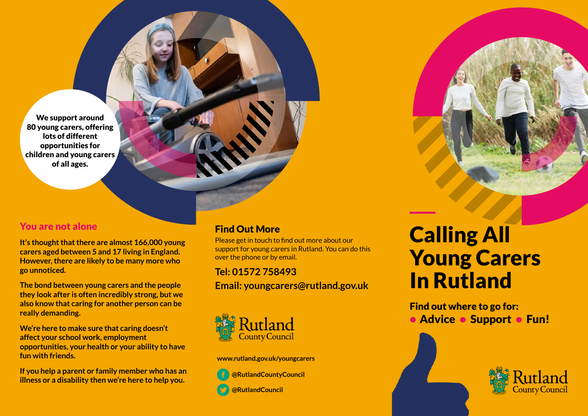We support around 80 young carers, offering lots of different opportunities for children and young carers of all ages.

#### You are not alone

**It's thought that there are almost 166,000 young carers aged between 5 and 17 living in England. However, there are likely to be many more who go unnoticed.** 

**The bond between young carers and the people they look after is often incredibly strong, but we also know that caring for another person can be really demanding.** 

**We're here to make sure that caring doesn't affect your school work, employment opportunities, your health or your ability to have fun with friends.** 

**If you help a parent or family member who has an illness or a disability then we're here to help you.** 

#### Find Out More

Please get in touch to find out more about our support for young carers in Rutland. You can do this over the phone or by email.

**Tel: 01572 758493 Email: youngcarers@rutland.gov.uk**



**www.rutland.gov.uk/youngcarers**

 **@RutlandCountyCouncil @RutlandCouncil**

# Calling All Young Carers In Rutland

Find out where to go for: • Advice • Support • Fun!